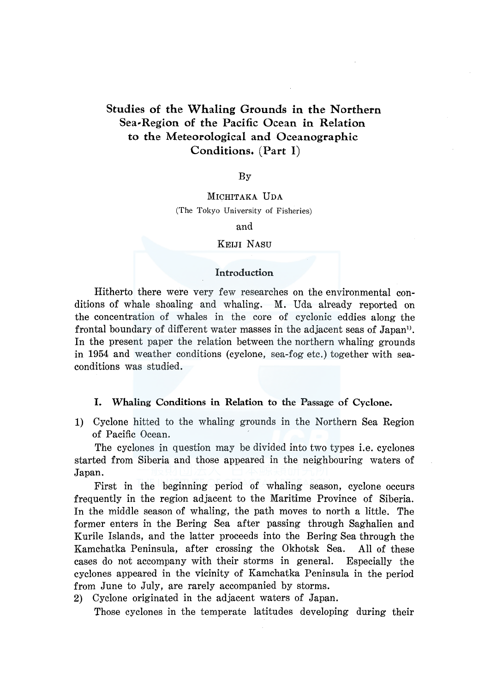## Studies of the Whaling Grounds in the Northern Sea-Region of the Pacific Ocean in Relation to the Meteorological and Oceanographic Conditions. (Part I)

### By

## MICHITAKA UDA (The Tokyo University of Fisheries)

and

### KEIJI NASU

#### Introduction

Hitherto there were very few researches on the environmental conditions of whale shoaling and whaling. M. Uda already reported on the concentration of whales in the core of cyclonic eddies along the frontal boundary of different water masses in the adjacent seas of Japan<sup>1</sup>. In the present paper the relation between the northern whaling grounds in 1954 and weather conditions (cyclone, sea-fog etc.) together with seaconditions was studied.

## I. Whaling Conditions in Relation to the Passage of Cyclone.

1) Cyclone hitted to the whaling grounds in the Northern Sea Region of Pacific Ocean.

The cyclones in question may be divided into two types i.e. cyclones started from Siberia and those appeared in the neighbouring waters of Japan.

First in the beginning period of whaling season, cyclone occurs frequently in the region adjacent to the Maritime Province of Siberia. In the middle season of whaling, the path moves to north a little. The former enters in the Bering Sea after passing through Saghalien and Kurile Islands, and the latter proceeds into the Bering Sea through the Kamchatka Peninsula, after crossing the Okhotsk Sea. All of these cases do not accompany with their storms in general. Especially the cyclones appeared in the vicinity of Kamchatka Peninsula in the period from June to July, are rarely accompanied by storms.

2) Cyclone originated in the adjacent waters of Japan.

Those cyclones in the temperate latitudes developing during their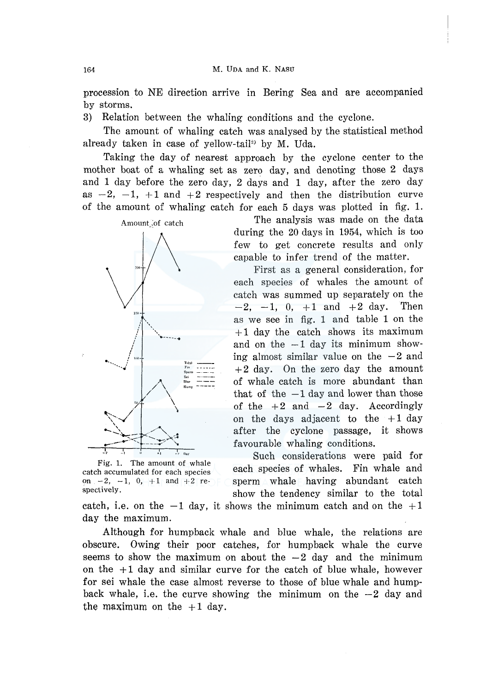procession to NE direction arrive in Bering Sea and are accompanied by storms.

3) Relation between the whaling conditions and the cyclone.

The amount of whaling catch was analysed by the statistical method already taken in case of yellow-tail<sup>2)</sup> by M. Uda.

Taking the day of nearest approach by the cyclone center to the mother boat of a whaling set as zero day, and denoting those 2 days and 1 day before the zero day, 2 days and 1 day, after the zero day as  $-2$ ,  $-1$ ,  $+1$  and  $+2$  respectively and then the distribution curve of the amount of whaling catch for each 5 days was plotted in fig. 1.



Fig. 1. The amount of whale

The analysis was made on the data during the 20 days in 1954, which is too few to get concrete results and only capable to infer trend of the matter.

First as a general consideration, for each species of whales the amount of catch was summed up separately on the  $-2$ ,  $-1$ , 0,  $+1$  and  $+2$  day. Then as we see in fig. 1 and table 1 on the  $+1$  day the catch shows its maximum and on the  $-1$  day its minimum showing almost similar value on the  $-2$  and  $+2$  day. On the zero day the amount of whale catch is more abundant than that of the  $-1$  day and lower than those of the  $+2$  and  $-2$  day. Accordingly on the days adjacent to the  $+1$  day after the cyclone passage, it shows favourable whaling conditions.

Such considerations were paid for catch accumulated for each species each species of whales. Fin whale and on  $-2$ ,  $-1$ ,  $0$ ,  $+1$  and  $+2$  re-  $\overline{\phantom{a}}$  sperm whale having abundant catch spectively. show the tendency similar to the total

catch, i.e. on the  $-1$  day, it shows the minimum catch and on the  $+1$ day the maximum.

Although for humpback whale and blue whale, the relations are obscure. Owing their poor catches, for humpback whale the curve seems to show the maximum on about the  $-2$  day and the minimum on the  $+1$  day and similar curve for the catch of blue whale, however for sei whale the case almost reverse to those of blue whale and humpback whale, i.e. the curve showing the minimum on the  $-2$  day and the maximum on the  $+1$  day.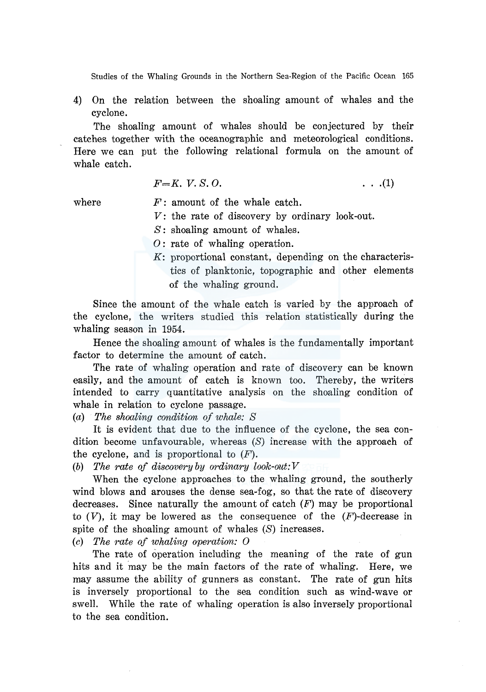4) On the relation between the shoaling amount of whales and the cyclone.

The shoaling amount of whales should be conjectured by their catches together with the oceanographic and meteorological conditions. Here we can put the following relational formula on the amount of whale catch.

 $F=K$ ,  $V.S. O.$  (1)

where

*F:* amount of the whale catch.

*V:* the rate of discovery by ordinary look-out.

S: shoaling amount of whales.

- 0: rate of whaling operation.
- *K:* proportional constant, depending on the characteristics of planktonic, topographic and other elements of the whaling ground.

Since the amount of the whale catch is varied by the approach of the cyclone, the writers studied this relation statistically during the whaling season in 1954.

Hence the shoaling amount of whales is the fundamentally important factor to determine the amount of catch.

The rate of whaling operation and rate of discovery can be known easily, and the amount of catch is known too. Thereby, the writers intended to carry quantitative analysis on the shoaling condition of whale in relation to cyclone passage.

(a) *The shoaling condition of whale: S* 

It is evident that due to the influence of the cyclone, the sea condition become unfavourable, whereas  $(S)$  increase with the approach of the cyclone, and is proportional to  $(F)$ .

(b) *The rate of discovery by ordinary look-out: V* 

When the cyclone approaches to the whaling ground, the southerly wind blows and arouses the dense sea-fog, so that the rate of discovery decreases. Since naturally the amount of catch  $(F)$  may be proportional to  $(V)$ , it may be lowered as the consequence of the  $(F)$ -decrease in spite of the shoaling amount of whales (S) increases.

(c) *The rate of whaling operation: 0* 

The rate of operation including the meaning of the rate of gun hits and it may be the main factors of the rate of whaling. Here, we may assume the ability of gunners as constant. The rate of gun hits is inversely proportional to the sea condition such as wind-wave or swell. While the rate of whaling operation is also inversely proportional to the sea condition.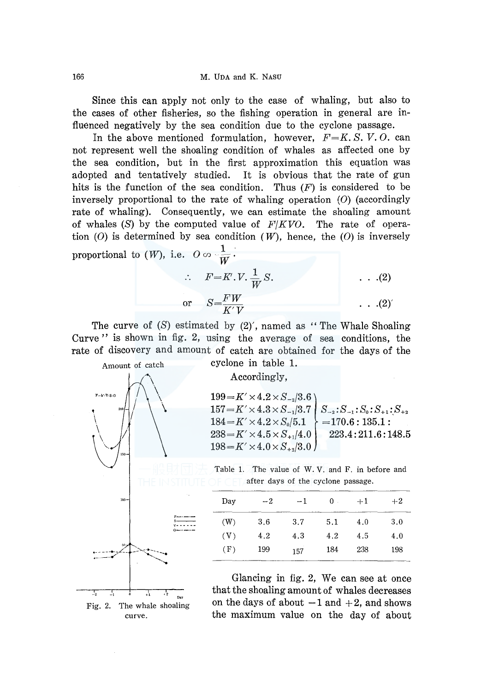Since this can apply not only to the case of whaling, but also to the cases of other fisheries, so the fishing operation in general are influenced negatively by the sea condition due to the cyclone passage.

In the above mentioned formulation, however, *F=K. S. V.* 0. can not represent well the shoaling condition of whales as affected one by the sea condition, but in the first approximation this equation was adopted and tentatively studied. It is obvious that the rate of gun hits is the function of the sea condition. Thus  $(F)$  is considered to be inversely proportional to the rate of whaling operation (0) (accordingly rate of whaling). Consequently, we can estimate the shoaling amount of whales (S) by the computed value of *F/KVO.* The rate of operation  $(0)$  is determined by sea condition  $(W)$ , hence, the  $(0)$  is inversely proportional to  $(W)$ , i.e.  $O \circ \frac{1}{W}$ .

$$
\therefore F = K'.V. \frac{1}{W} S.
$$
 (2)  
or 
$$
S = \frac{FW}{K'V}
$$
 (2)

The curve of  $(S)$  estimated by  $(2)'$ , named as "The Whale Shoaling" Curve" is shown in fig. 2, using the average of sea conditions, the rate of discovery and amount of catch are obtained for the days of the



Accordingly,

 $198 = K' \times 4.0 \times S_{+2}/3.0$ 

 $157 = K' \times 4.3 \times S_{-1}/3.7 \mid S_{-2} : S_{-1} : S_0 : S_{+1} : S_{+2}$  $199 = K' \times 4.2 \times S_{-2}/3.6$  $184 = K' \times 4.2 \times S_0/5.1$  =170.6 : 135.1 :  $238 = K' \times 4.5 \times S_{+1}/4.0$  223.4:211.6:148.5

Table 1. The value of W. V. and F. in before and after days of the cyclone passage.

| Day | $-2$ | $-1$ | 0<br>÷. | $+1$ | $+2$ |
|-----|------|------|---------|------|------|
| (W) | 3.6  | 3.7  | 5.1     | 4.0  | 3.0  |
| (V) | 4.2  | 4.3  | 4.2     | 4.5  | 4.0  |
| (F) | 199  | 157  | 184     | 238  | 198  |

Glancing in fig. 2, We can see at once that the shoaling amount of whales decreases on the days of about  $-1$  and  $+2$ , and shows the maximum value on the day of about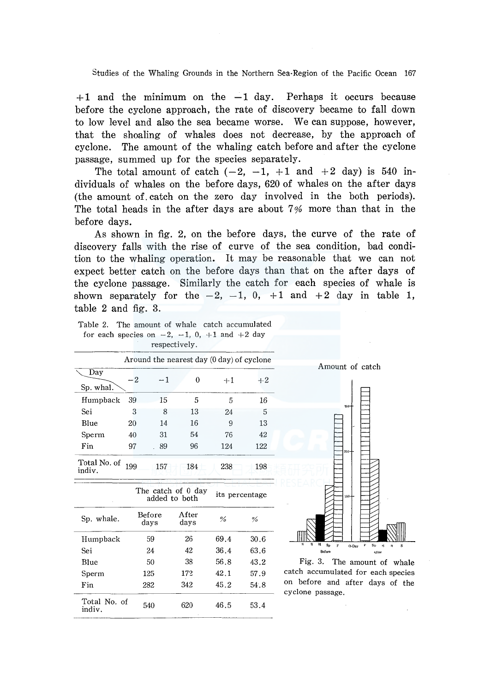$+1$  and the minimum on the  $-1$  day. Perhaps it occurs because before the cyclone approach, the rate of discovery became to fall down to low level and also the sea became worse. We can suppose, however, that the shoaling of whales does not decrease, by the approach of cyclone. The amount of the whaling catch before and after the cyclone passage, summed up for the species separately.

The total amount of catch  $(-2, -1, +1, -1)$  and  $+2$  day) is 540 individuals of whales on the before days, 620 of whales on the after days (the amount of. catch on the zero day involved in the both periods). The total heads in the after days are about  $7\%$  more than that in the before days.

As shown in fig. 2, on the before days, the curve of the rate of discovery falls with the rise of curve of the sea condition, bad condition to the whaling operation. It may be reasonable that we can not expect better catch on the before days than that on the after days of the cyclone passage. Similarly the catch for each species of whale is shown separately for the  $-2$ ,  $-1$ , 0,  $+1$  and  $+2$  day in table 1, table 2 and fig. 3.

| Table 2. The amount of whale catch accumulated         |  |  |              |  |  |  |
|--------------------------------------------------------|--|--|--------------|--|--|--|
| for each species on $-2$ , $-1$ , 0, $+1$ and $+2$ day |  |  |              |  |  |  |
|                                                        |  |  | respectively |  |  |  |

|                        |      |      | Around the nearest day (0 day) of cyclone |      |      |
|------------------------|------|------|-------------------------------------------|------|------|
| Day<br>Sp. whal.       | $-2$ | $-1$ | 0                                         | $+1$ | $+2$ |
| Humpback               | 39   | 15   | 5                                         | 5    | 16   |
| Sei                    | 3    | 8    | 13                                        | 24   | 5    |
| Blue                   | 20   | 14   | 16                                        | 9    | 13   |
| Sperm                  | 40   | 31   | 54                                        | 76   | 42   |
| Fin                    | 97   | 89   | 96                                        | 124  | 122  |
| Total No. of<br>indiv. | 199  | 157  | 184                                       | 238  | 198  |
|                        |      |      |                                           |      |      |

The catch of 0 day<br>added to both its percentage Sp. whale. Before After  $\%$  % Humpback 59 26 69.4 30.6 Sei 24 42 36.4 63.6 Blue 50 38 56.8 43.2 Sperm 125 172 42.1 57.9 Fin 282 342 45.2 54.8 Total No. of 540 620 46.5 53.4 indiv.



Amount of catch

Fig. 3. The amount of whale catch accumulated for each species on before and after days of the cyclone passage.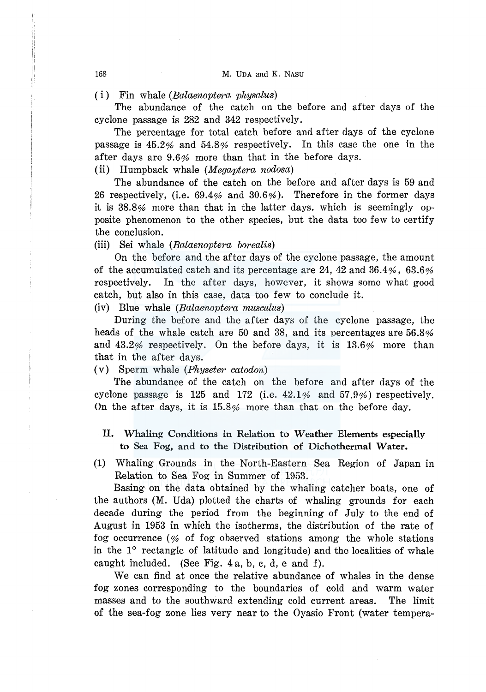#### ( i) Fin whale *(Balaenoptera physalus)*

The abundance of the catch on the before and after days of the cyclone passage is 282 and 342 respectively.

The percentage for total catch before and after days of the cyclone passage is 45.2% and 54.8% respectively. In this case the one in the after days are 9.6% more than that in the before days.

(ii) Humpback whale *(Megaptera nodosa)* 

The abundance of the catch on the before and after days is 59 and 26 respectively, (i.e. 69.4% and 30.6% ). Therefore in the former days it is 38.8% more than that in the latter days. which is seemingly opposite phenomenon to the other species, but the data too few to certify the conclusion.

(iii) Sei whale *(Balaenoptera borealis)* 

On the before and the after days of the cyclone passage, the amount of the accumulated catch and its percentage are 24, 42 and 36.4%, 63.6% respectively. In the after days, however, it shows some what good catch, but also in this case, data too few to conclude it.

(iv) Blue whale *(Balaenoptera musculus)* 

During the before and the after days of the cyclone passage, the heads of the whale catch are 50 and 38, and its percentages are 56.8% and  $43.2\%$  respectively. On the before days, it is  $13.6\%$  more than that in the after days.

(v) Sperm whale *(Physeter catodon)* 

The abundance of the catch on the before and after days of the cyclone passage is 125 and 172 (i.e.  $42.1\%$  and  $57.9\%$ ) respectively. On the after days, it is 15.8% more than that on the before day.

- II. Whaling Conditions in Relation to Weather Elements especially to Sea Fog, and to the Distribution of Dichothermal Water.
- (1) Whaling Grounds in the North-Eastern Sea Region of Japan in Relation to Sea Fog in Summer of 1953.

Basing on the data obtained by the whaling catcher boats, one of the authors (M. Uda) plotted the charts of whaling grounds for each decade during the period from the beginning of July to the end of August in 1953 in which the isotherms, the distribution of the rate of fog occurrence ( $%$  of fog observed stations among the whole stations in the 1° rectangle of latitude and longitude) and the localities of whale caught included. (See Fig. 4 a, b, c, d, e and f).

We can find at once the relative abundance of whales in the dense fog zones corresponding to the boundaries of cold and warm water masses and to the southward extending cold current areas. The limit of the sea-fog zone lies very near to the Oyasio Front (water tempera-

1 i I' i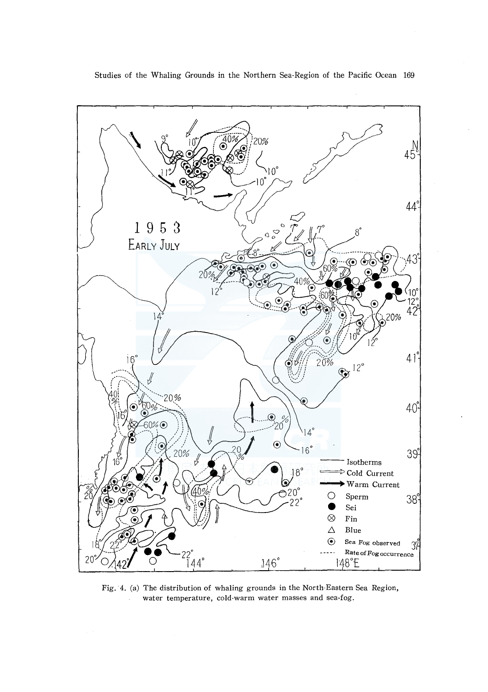

Fig. 4. (a) The distribution of whaling grounds in the North-Eastern Sea Region, water temperature, cold-warm water masses and sea-fog.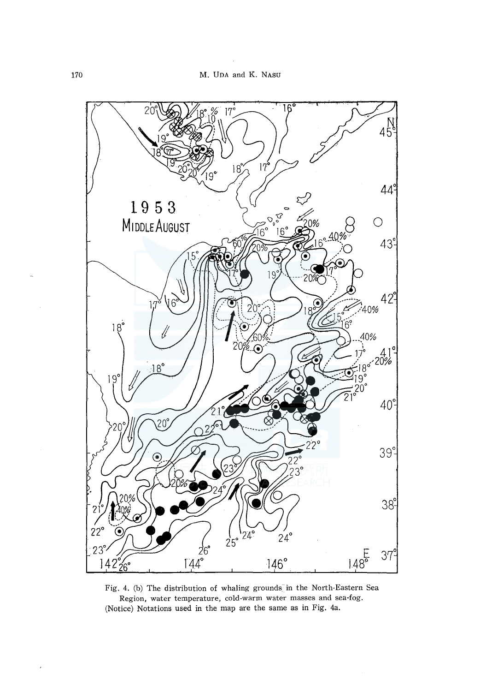

Fig. 4. (b) The distribution of whaling grounds in the North-Eastern Sea Region, water temperature, cold-warm water masses and sea-fog. (Notice) Notations used in the map are the same as in Fig. 4a.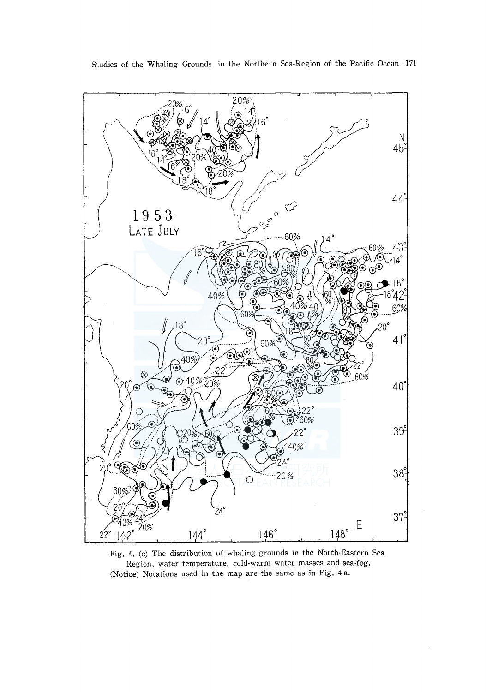

Fig. 4. (c) The distribution of whaling grounds in the North-Eastern Sea Region, water temperature, cold-warm water masses and sea-fog. (Notice) Notations used in the map are the same as in Fig. 4 a.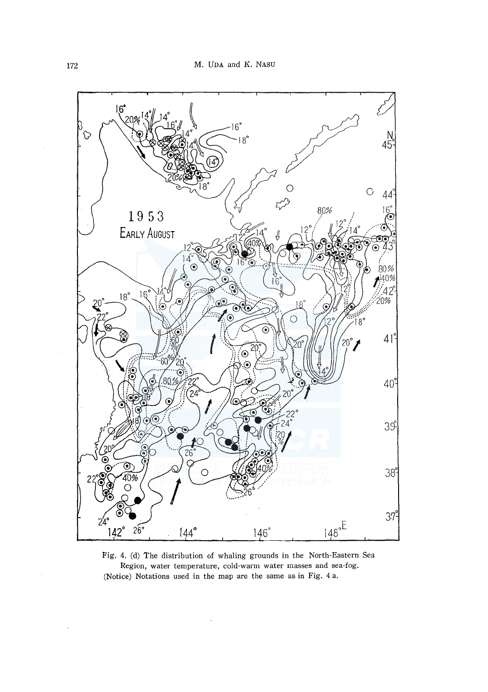

Fig. 4. (d) The distribution of whaling grounds in the North-Eastern Sea Region, water temperature, cold-warm water masses and sea-fog. (Notice) Notations used in the map are the same as in Fig. 4 a.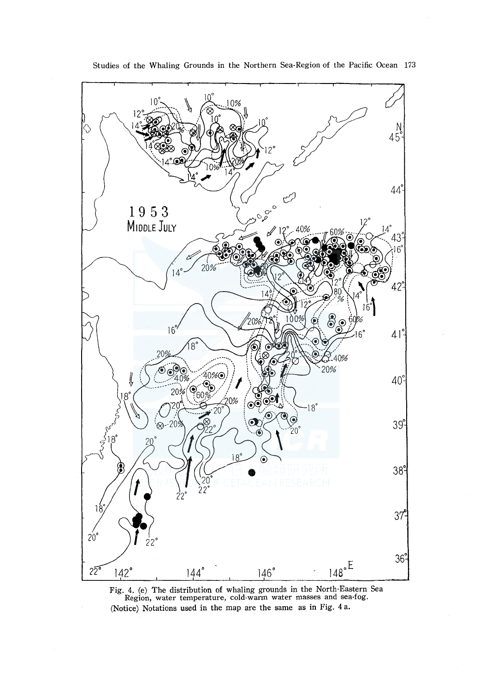

Fig. 4. (e) The distribution of whaling grounds in the North-Eastern Sea Region, water temperature, cold-warm water masses and sea-fog. (Notice) Notations used in the map are the same as in Fig. 4 a.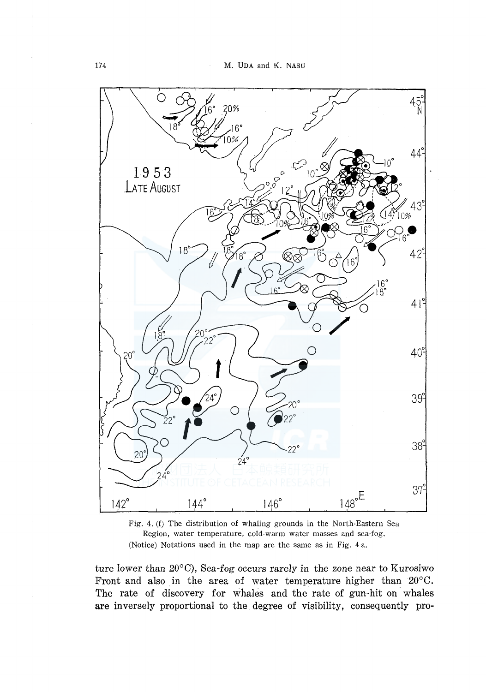



ture lower than  $20^{\circ}$ C), Sea-fog occurs rarely in the zone near to Kurosiwo Front and also in the area of water temperature higher than 20°C. The rate of discovery for whales and the rate of gun-hit on whales are inversely proportional to the degree of visibility, consequently pro-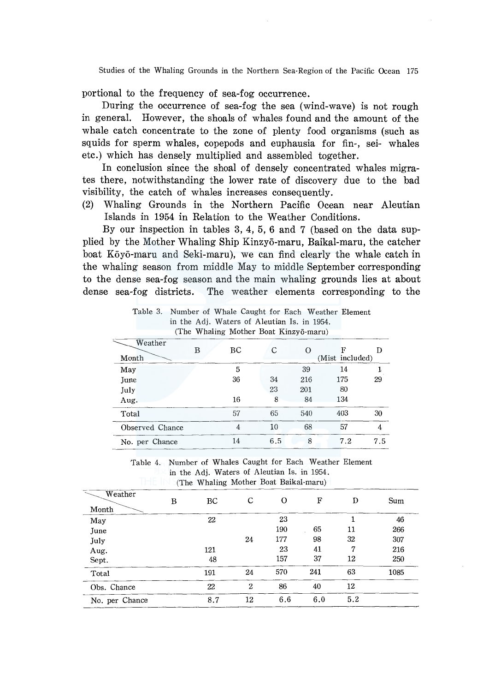portional to the frequency of sea-fog occurrence.

During the occurrence of sea-fog the sea (wind-wave) is not rough in general. However, the shoals of whales found and the amount of the whale catch concentrate to the zone of plenty food organisms (such as squids for sperm whales, copepods and euphausia for fin-, sei- whales etc.) which has densely multiplied and assembled together.

In conclusion since the shoal of densely concentrated whales migrates there, notwithstanding the lower rate of discovery due to the bad visibility, the catch of whales increases consequently.

(2) Whaling Grounds in the Northern Pacific Ocean near Aleutian Islands in 1954 in Relation to the Weather Conditions.

By our inspection in tables 3, 4, 5, 6 and 7 (based on the data supplied by the Mother Whaling Ship Kinzyo-maru, Baikal-maru, the catcher boat Kōyō-maru and Seki-maru), we can find clearly the whale catch in the whaiing season from middle May to middle September corresponding to the dense sea-fog season and the main whaling grounds lies at about dense sea-fog districts. The weather elements corresponding to the

Table 3. Number of Whale Caught for Each Weather Element

|                 |   |    | $11.229777 - 1.7977777$ 2021 202222<br>in the Adj. Waters of Aleutian Is. in 1954.<br>(The Whaling Mother Boat Kinzyō-maru) |          |                      |     |
|-----------------|---|----|-----------------------------------------------------------------------------------------------------------------------------|----------|----------------------|-----|
| Weather         |   |    |                                                                                                                             |          |                      |     |
| Month           | в | ВC | С                                                                                                                           | $\Omega$ | F<br>(Mist included) | D   |
| May             |   | 5  |                                                                                                                             | 39       | 14                   |     |
| <b>Tune</b>     |   | 36 | 34                                                                                                                          | 216      | 175                  | 29  |
| July            |   |    | 23                                                                                                                          | 201      | 80                   |     |
| Aug.            |   | 16 | 8                                                                                                                           | 84       | 134                  |     |
| Total           |   | 57 | 65                                                                                                                          | 540      | 403                  | 30  |
| Observed Chance |   | 4  | 10                                                                                                                          | 68       | 57                   | 4   |
| No. per Chance  |   | 14 | 6.5                                                                                                                         | 8        | 7.2                  | 7.5 |

| . per Giance |  |  |                                                                                                          | $+ +$ |  | $\mathbf{u} \cdot \mathbf{v}$<br>$\cdots$ |  | $\cdot$ |  |
|--------------|--|--|----------------------------------------------------------------------------------------------------------|-------|--|-------------------------------------------|--|---------|--|
|              |  |  | Table 4. Number of Whales Caught for Each Weather Element<br>in the Adj. Waters of Aleutian Is. in 1954. |       |  |                                           |  |         |  |

(The Whaling Mother Boat Baikal-maru)

| Weather        | В | BC  | C                | O   | F   | D   | Sum  |
|----------------|---|-----|------------------|-----|-----|-----|------|
| Month          |   |     |                  |     |     |     |      |
| May            |   | 22  |                  | 23  |     |     | 46   |
| June           |   |     |                  | 190 | 65  | 11  | 266  |
| July           |   |     | 24               | 177 | 98  | 32  | 307  |
| Aug.           |   | 121 |                  | 23  | 41  | 7   | 216  |
| Sept.          |   | 48  |                  | 157 | 37  | 12  | 250  |
| Total          |   | 191 | 24               | 570 | 241 | 63  | 1085 |
| Obs. Chance    |   | 22  | $\boldsymbol{2}$ | 86  | 40  | 12  |      |
| No. per Chance |   | 8.7 | 12               | 6.6 | 6.0 | 5.2 |      |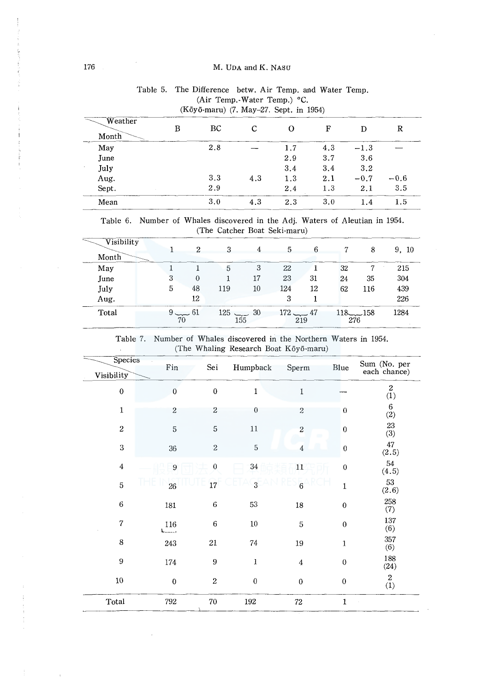#### 176 M. UDA and K. NASU

| $(K\bar{o}y\bar{o}$ -maru) (7. May–27. Sept. in 1954) |   |     |     |     |     |        |        |  |  |  |
|-------------------------------------------------------|---|-----|-----|-----|-----|--------|--------|--|--|--|
| Weather<br>Month                                      | в | ВC  | C   | Ω   | F   | D      | R      |  |  |  |
| May                                                   |   | 2.8 |     | 1.7 | 4.3 | $-1.3$ |        |  |  |  |
| June                                                  |   |     |     | 2.9 | 3.7 | 3.6    |        |  |  |  |
| July                                                  |   |     |     | 3.4 | 3.4 | 3.2    |        |  |  |  |
| Aug.                                                  |   | 3.3 | 4.3 | 1.3 | 2.1 | $-0.7$ | $-0.6$ |  |  |  |
| Sept.                                                 |   | 2.9 |     | 2.4 | 1.3 | 2.1    | 3.5    |  |  |  |
| Mean                                                  |   | 3.0 | 4.3 | 2.3 | 3.0 | 1.4    | 1.5    |  |  |  |

# Table 5. The Difference betw. Air Temp. and Water Temp. (Air Temp.-Water Temp.) °C.

Table 6. Number of Whales discovered in the Adj. Waters of Aleutian in 1954. (The Catcher Boat Seki-maru)

| Visibility |    | $\Omega$    | 3                    |        | 5          | 6   |     | 8           | 9.<br>- 10 |
|------------|----|-------------|----------------------|--------|------------|-----|-----|-------------|------------|
| Month      |    |             |                      |        |            |     |     |             |            |
| May        |    |             | 5                    | 3      | 22         |     | 32  | 7           | 215        |
| June       | 3  | $\theta$    |                      | 17     | 23         | 31  | 24  | 35          | 304        |
| July       | 5  | 48          | 119                  | $10\,$ | 124        | 12  | 62  | 116         | 439        |
| Aug.       |    | 12          |                      |        | 3          |     |     |             | 226        |
| Total      | 70 | $9 \sim 61$ | $125$ $-2$ 30<br>155 |        | $172 - 47$ | 219 | 276 | $118 - 158$ | 1284       |

Table 7. Number of Whales discovered in the Northern Waters in 1954. (The Whaling Research Boat K6y6-maru)  $\mathcal{L}$ 

| Species<br>Visibility | Fin            | Sei              | Humpback         | Sperm            | Blue             | Sum (No. per<br>each chance) |
|-----------------------|----------------|------------------|------------------|------------------|------------------|------------------------------|
| $\boldsymbol{0}$      | $\overline{0}$ | $\bf{0}$         | $\mathbf 1$      | $\mathbf{1}$     |                  | $\boldsymbol{2}$<br>(1)      |
| 1                     | $\overline{c}$ | $\overline{2}$   | $\boldsymbol{0}$ | $\boldsymbol{2}$ | $\bf{0}$         | $\,6$<br>(2)                 |
| $\boldsymbol{2}$      | $\sqrt{5}$     | 5                | 11               | $\overline{2}$   | $\bf{0}$         | 23<br>(3)                    |
| 3                     | 36             | $\overline{2}$   | $\mathbf 5$      | 4                | $\boldsymbol{0}$ | 47<br>(2.5)                  |
| $\bf{4}$              | 9              | $\overline{0}$   | 34               | 11               | $\bf{0}$         | 54<br>(4.5)                  |
| 5                     | 26             | 17               | 3                | $\overline{6}$   | $\mathbf{1}$     | 53<br>(2.6)                  |
| $\bf 6$               | 181            | $\!6\,$          | 53               | 18               | $\boldsymbol{0}$ | 258<br>(7)                   |
| $\overline{7}$        | 116<br>استسما  | $\,$ 6           | $10\,$           | 5                | $\boldsymbol{0}$ | 137<br>(6)                   |
| 8                     | 243            | $21\,$           | $74\,$           | 19               | $\mathbf{1}$     | 357<br>(6)                   |
| 9                     | 174            | 9                | $\mathbf{1}$     | 4                | $\boldsymbol{0}$ | 188<br>(24)                  |
| $10\,$                | $\pmb{0}$      | $\boldsymbol{2}$ | $\boldsymbol{0}$ | $\boldsymbol{0}$ | $\boldsymbol{0}$ | $\boldsymbol{2}$<br>(1)      |
| Total                 | 792            | $70\,$           | 192              | ${\bf 72}$       | $\mathbf{1}$     |                              |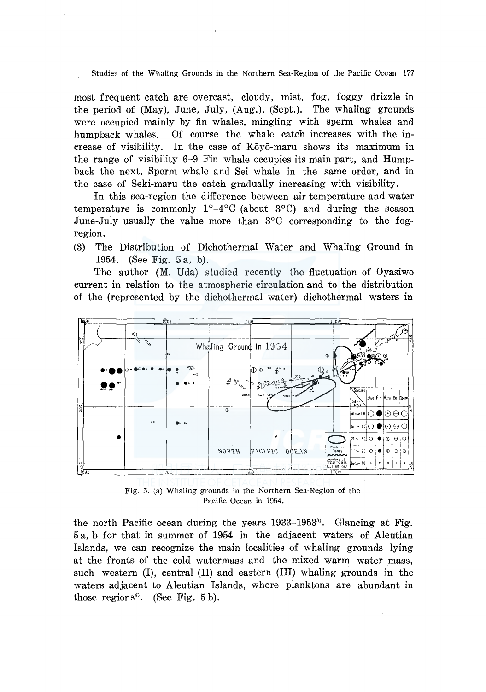most frequent catch are overcast, cloudy, mist, fog, foggy drizzle in the period of (May), June, July, (Aug.), (Sept.). The whaling grounds were occupied mainly by fin whales, mingling with sperm whales and humpback whales. Of course the whale catch increases with the increase of visibility. In the case of Koyo-maru shows its maximum in the range of visibility 6-9 Fin whale occupies its main part, and Humpback the next, Sperm whale and Sei whale in the same order, and in the case of Seki-maru the catch gradually increasing with visibility.

In this sea-region the difference between air temperature and water temperature is commonly  $1^{\circ}-4^{\circ}$ C (about  $3^{\circ}$ C) and during the season June-July usually the value more than 3°C corresponding to the fogregion.

(3) The Distribution of Dichothermal Water and Whaling Ground in 1954. (See Fig. 5 a, b).

The author (M. Uda) studied recently the fluctuation of Oyasiwo current in relation to the atmospheric circulation and to the distribution of the (represented by the dichothermal water) dichothermal waters in



Fig. 5. (a) Whaling grounds in the Northern Sea-Region of the Pacific Ocean in 1954.

the north Pacific ocean during the years 1933-1953<sup>3</sup>. Glancing at Fig. 5 a, b for that in summer of 1954 in the adjacent waters of Aleutian Islands, we can recognize the main localities of whaling grounds lying at the fronts of the cold watermass and the mixed warm water mass, such western (I), central (II) and eastern (III) whaling grounds in the waters adjacent to Aleutian Islands, where planktons are abundant in those regions<sup>4</sup>. (See Fig. 5b).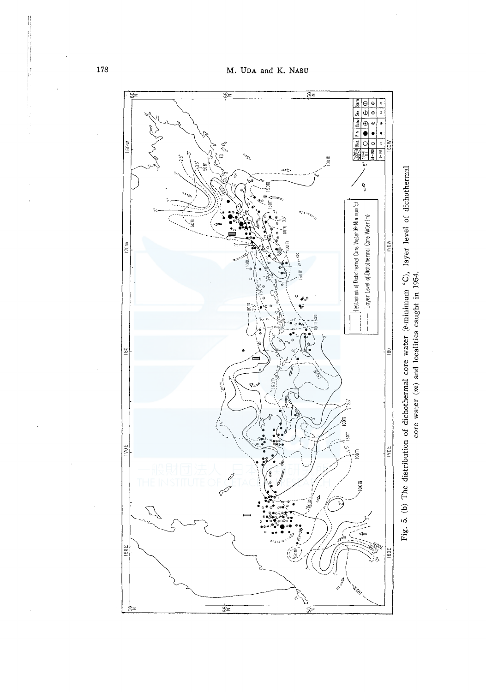

Fig. 5. (b) The distribution of dichothermal core water ( $\theta$ -minimum  $^{\circ}$ C), layer level of dichothermal core vater ( $m$ ) and localities caught in 1954. Fig. 5. (b) The distribution of dichothermal core water ( $\theta$ -minimum  $^{\circ}$ C), layer level of dichothermal core water (m) and localities caught in 1954.

 $\parallel$